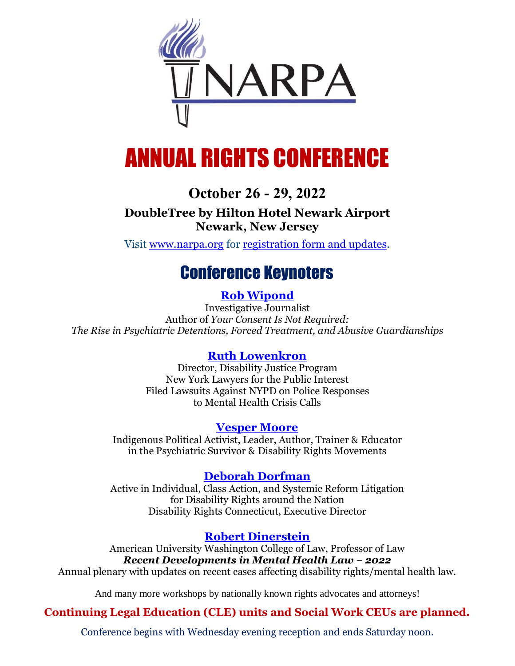

# ANNUAL RIGHTS CONFERENCE

# **October 26 - 29, 2022**

### **DoubleTree by Hilton Hotel Newark Airport Newark, New Jersey**

Visit [www.narpa.org](https://www.narpa.org/) for [registration form and updates.](https://narpa.org/conferences/narpa-2022-annual-rights-conference/NARPA-2022-Registration-form.pdf)

# Conference Keynoters

### **[Rob Wipond](https://narpa.org/bios/wipond)**

Investigative Journalist Author of *[Your Consent Is Not Required:](https://robwipond.com/your-consent-is-not-required) [The Rise in Psychiatric Detentions, Forced Treatment, and Abusive Guardianships](https://robwipond.com/your-consent-is-not-required)*

#### **[Ruth Lowenkron](https://narpa.org/bios/lowenkron)**

Director, Disability Justice Program New York Lawyers for the Public Interest Filed Lawsuits Against NYPD on Police Responses to Mental Health Crisis Calls

#### **[Vesper Moore](https://narpa.org/bios/vesper-moore)**

Indigenous Political Activist, Leader, Author, Trainer & Educator in the Psychiatric Survivor & Disability Rights Movements

#### **[Deborah Dorfman](https://narpa.org/bios/dorfman)**

Active in Individual, Class Action, and Systemic Reform Litigation for Disability Rights around the Nation Disability Rights Connecticut, Executive Director

## **[Robert Dinerstein](https://narpa.org/bios/dinerstein)**

American University Washington College of Law, Professor of Law *Recent Developments in Mental Health Law – 2022* Annual plenary with updates on recent cases affecting disability rights/mental health law.

And many more workshops by nationally known rights advocates and attorneys!

## **Continuing Legal Education (CLE) units and Social Work CEUs are planned.**

Conference begins with Wednesday evening reception and ends Saturday noon.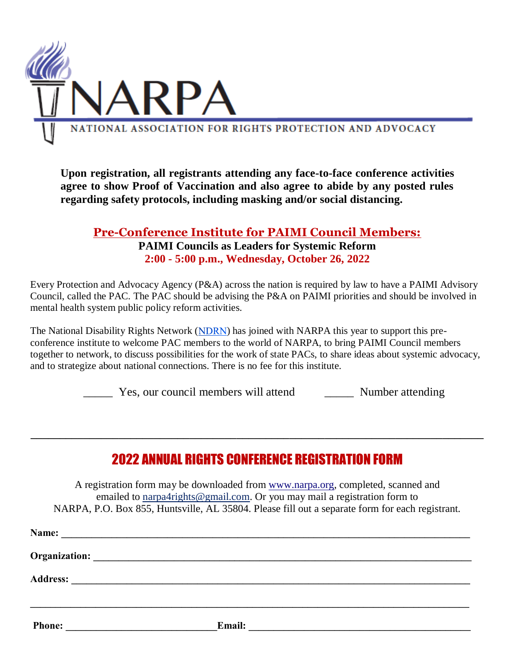

**Upon registration, all registrants attending any face-to-face conference activities agree to show Proof of Vaccination and also agree to abide by any posted rules regarding safety protocols, including masking and/or social distancing.**

#### **Pre-Conference Institute for PAIMI Council Members: PAIMI Councils as Leaders for Systemic Reform 2:00 - 5:00 p.m., Wednesday, October 26, 2022**

Every Protection and Advocacy Agency (P&A) across the nation is required by law to have a PAIMI Advisory Council, called the PAC. The PAC should be advising the P&A on PAIMI priorities and should be involved in mental health system public policy reform activities.

The National Disability Rights Network [\(](https://www.ndrn.org/)NDRN) has joined with NARPA this year to support this preconference institute to welcome PAC members to the world of NARPA, to bring PAIMI Council members together to network, to discuss possibilities for the work of state PACs, to share ideas about systemic advocacy, and to strategize about national connections. There is no fee for this institute.

\_\_\_\_\_ Yes, our council members will attend \_\_\_\_\_ Number attending

# 2022 ANNUAL RIGHTS CONFERENCE REGISTRATION FORM

**\_\_\_\_\_\_\_\_\_\_\_\_\_\_\_\_\_\_\_\_\_\_\_\_\_\_\_\_\_\_\_\_\_\_\_\_\_\_\_\_\_\_\_\_\_\_\_\_\_\_\_\_\_\_\_\_\_\_\_\_\_\_\_\_\_\_\_\_\_\_\_\_\_\_\_\_\_**

A registration form may be downloaded from www.narpa.org, completed, scanned and emailed to narpa4rights@gmail.com. Or you may mail a registration form to NARPA, P.O. Box 855, Huntsville, AL 35804. Please fill out a separate form for each registrant.

| Name:<br><u> 1980 - Andrea Stadt Britain, fransk politik (d. 1980)</u> |                                                                                                                                 |
|------------------------------------------------------------------------|---------------------------------------------------------------------------------------------------------------------------------|
| Organization:<br><u> 2008 - Jan Barnett, fransk politik (d. 1888)</u>  |                                                                                                                                 |
| <b>Address:</b><br><u> 1980 - Andrea Andrew Maria (h. 1980).</u>       |                                                                                                                                 |
| <b>Phone:</b>                                                          | Email:<br><u> 1980 - Jan Samuel Barbara, político establecer a la propia de la propia de la propia de la propia de la propi</u> |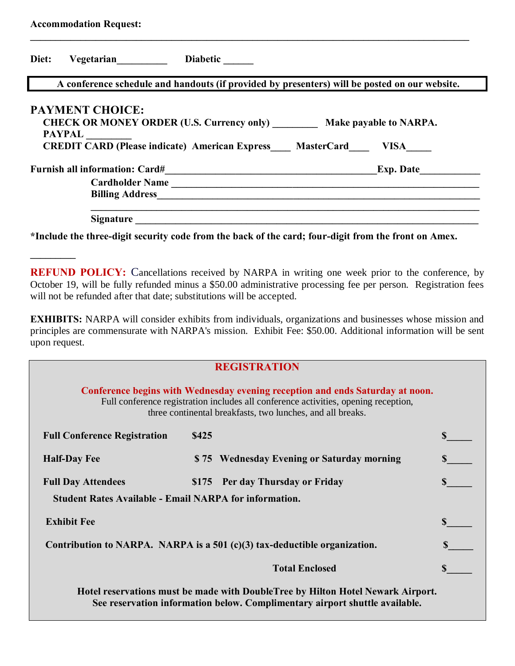| <b>Accommodation Request:</b> |                                                                                                                                                                     |  |
|-------------------------------|---------------------------------------------------------------------------------------------------------------------------------------------------------------------|--|
| Diet:                         | Vegetarian Diabetic                                                                                                                                                 |  |
|                               | A conference schedule and handouts (if provided by presenters) will be posted on our website.                                                                       |  |
| <b>PAYPAL</b>                 | <b>PAYMENT CHOICE:</b><br>CHECK OR MONEY ORDER (U.S. Currency only) Make payable to NARPA.<br><b>CREDIT CARD (Please indicate) American Express MasterCard VISA</b> |  |
|                               |                                                                                                                                                                     |  |
|                               | Cardholder Name                                                                                                                                                     |  |
|                               |                                                                                                                                                                     |  |
|                               | <b>Signature</b>                                                                                                                                                    |  |

**\*Include the three-digit security code from the back of the card; four-digit from the front on Amex.** 

**\_\_\_\_\_\_\_\_\_** 

**REFUND POLICY:** Cancellations received by NARPA in writing one week prior to the conference, by October 19, will be fully refunded minus a \$50.00 administrative processing fee per person. Registration fees will not be refunded after that date; substitutions will be accepted.

**EXHIBITS:** NARPA will consider exhibits from individuals, organizations and businesses whose mission and principles are commensurate with NARPA's mission. Exhibit Fee: \$50.00. Additional information will be sent upon request.

| <b>REGISTRATION</b>                                                                                                                                                                                                                |                                            |  |  |  |
|------------------------------------------------------------------------------------------------------------------------------------------------------------------------------------------------------------------------------------|--------------------------------------------|--|--|--|
| Conference begins with Wednesday evening reception and ends Saturday at noon.<br>Full conference registration includes all conference activities, opening reception,<br>three continental breakfasts, two lunches, and all breaks. |                                            |  |  |  |
| <b>Full Conference Registration</b>                                                                                                                                                                                                | \$425                                      |  |  |  |
| <b>Half-Day Fee</b>                                                                                                                                                                                                                | \$75 Wednesday Evening or Saturday morning |  |  |  |
| <b>Full Day Attendees</b>                                                                                                                                                                                                          | \$175 Per day Thursday or Friday           |  |  |  |
| <b>Student Rates Available - Email NARPA for information.</b>                                                                                                                                                                      |                                            |  |  |  |
| <b>Exhibit Fee</b>                                                                                                                                                                                                                 |                                            |  |  |  |
| Contribution to NARPA. NARPA is a $501$ (c)(3) tax-deductible organization.                                                                                                                                                        |                                            |  |  |  |
|                                                                                                                                                                                                                                    | <b>Total Enclosed</b>                      |  |  |  |
| Hotel reservations must be made with DoubleTree by Hilton Hotel Newark Airport.<br>See reservation information below. Complimentary airport shuttle available.                                                                     |                                            |  |  |  |